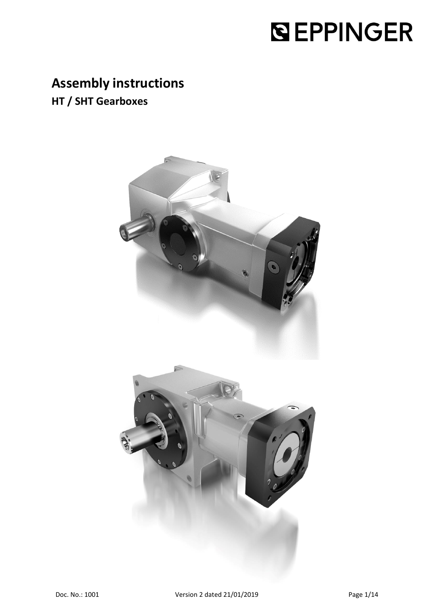# **SEPPINGER**

# **Assembly instructions**

**HT / SHT Gearboxes**

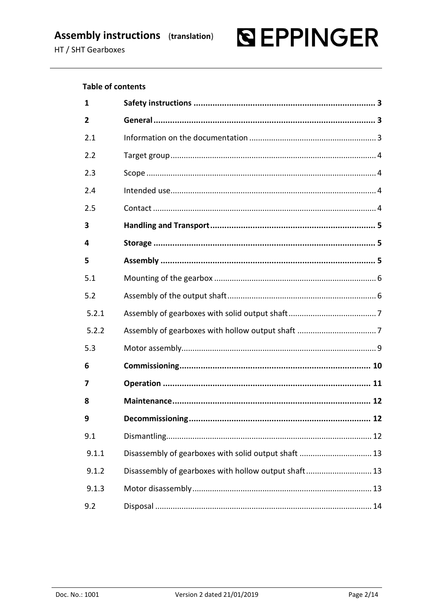# **SEPPINGER**

## **Table of contents**

| 1     |                                                      |
|-------|------------------------------------------------------|
| 2     |                                                      |
| 2.1   |                                                      |
| 2.2   |                                                      |
| 2.3   |                                                      |
| 2.4   |                                                      |
| 2.5   |                                                      |
| 3     |                                                      |
| 4     |                                                      |
| 5     |                                                      |
| 5.1   |                                                      |
| 5.2   |                                                      |
| 5.2.1 |                                                      |
| 5.2.2 |                                                      |
| 5.3   |                                                      |
| 6     |                                                      |
| 7     |                                                      |
| 8     |                                                      |
| 9     |                                                      |
| 9.1   |                                                      |
| 9.1.1 | Disassembly of gearboxes with solid output shaft  13 |
| 9.1.2 | Disassembly of gearboxes with hollow output shaft 13 |
| 9.1.3 |                                                      |
| 9.2   |                                                      |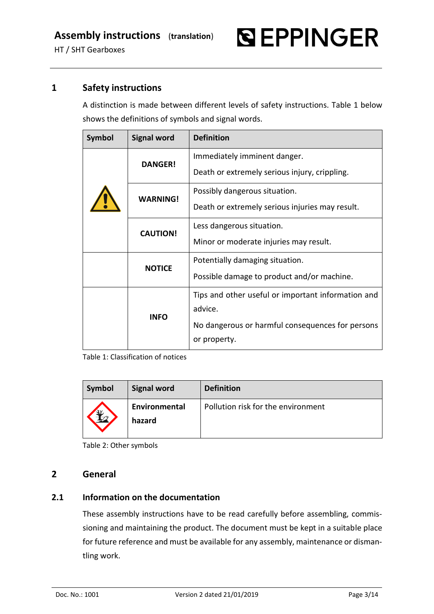**SEPPINGER** 

# **1 Safety instructions**

<span id="page-2-0"></span>A distinction is made between different levels of safety instructions. [Table 1](#page-2-3) below shows the definitions of symbols and signal words.

| <b>Symbol</b> | <b>Signal word</b> | <b>Definition</b>                                  |
|---------------|--------------------|----------------------------------------------------|
|               | <b>DANGER!</b>     | Immediately imminent danger.                       |
|               |                    | Death or extremely serious injury, crippling.      |
|               | <b>WARNING!</b>    | Possibly dangerous situation.                      |
|               |                    | Death or extremely serious injuries may result.    |
|               | <b>CAUTION!</b>    | Less dangerous situation.                          |
|               |                    | Minor or moderate injuries may result.             |
|               | <b>NOTICE</b>      | Potentially damaging situation.                    |
|               |                    | Possible damage to product and/or machine.         |
|               |                    | Tips and other useful or important information and |
|               | <b>INFO</b>        | advice.                                            |
|               |                    | No dangerous or harmful consequences for persons   |
|               |                    | or property.                                       |

<span id="page-2-3"></span>Table 1: Classification of notices

| Symbol | <b>Signal word</b>      | <b>Definition</b>                  |
|--------|-------------------------|------------------------------------|
| Y      | Environmental<br>hazard | Pollution risk for the environment |

Table 2: Other symbols

# <span id="page-2-1"></span>**2 General**

# <span id="page-2-2"></span>**2.1 Information on the documentation**

These assembly instructions have to be read carefully before assembling, commissioning and maintaining the product. The document must be kept in a suitable place for future reference and must be available for any assembly, maintenance or dismantling work.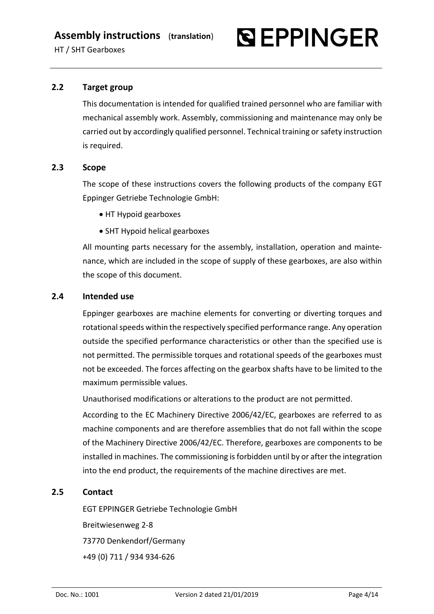

# <span id="page-3-0"></span>**2.2 Target group**

This documentation is intended for qualified trained personnel who are familiar with mechanical assembly work. Assembly, commissioning and maintenance may only be carried out by accordingly qualified personnel. Technical training or safety instruction is required.

## <span id="page-3-1"></span>**2.3 Scope**

The scope of these instructions covers the following products of the company EGT Eppinger Getriebe Technologie GmbH:

- HT Hypoid gearboxes
- SHT Hypoid helical gearboxes

All mounting parts necessary for the assembly, installation, operation and maintenance, which are included in the scope of supply of these gearboxes, are also within the scope of this document.

## <span id="page-3-2"></span>**2.4 Intended use**

Eppinger gearboxes are machine elements for converting or diverting torques and rotational speeds within the respectively specified performance range. Any operation outside the specified performance characteristics or other than the specified use is not permitted. The permissible torques and rotational speeds of the gearboxes must not be exceeded. The forces affecting on the gearbox shafts have to be limited to the maximum permissible values.

Unauthorised modifications or alterations to the product are not permitted.

According to the EC Machinery Directive 2006/42/EC, gearboxes are referred to as machine components and are therefore assemblies that do not fall within the scope of the Machinery Directive 2006/42/EC. Therefore, gearboxes are components to be installed in machines. The commissioning is forbidden until by or after the integration into the end product, the requirements of the machine directives are met.

## <span id="page-3-3"></span>**2.5 Contact**

EGT EPPINGER Getriebe Technologie GmbH Breitwiesenweg 2-8 73770 Denkendorf/Germany +49 (0) 711 / 934 934-626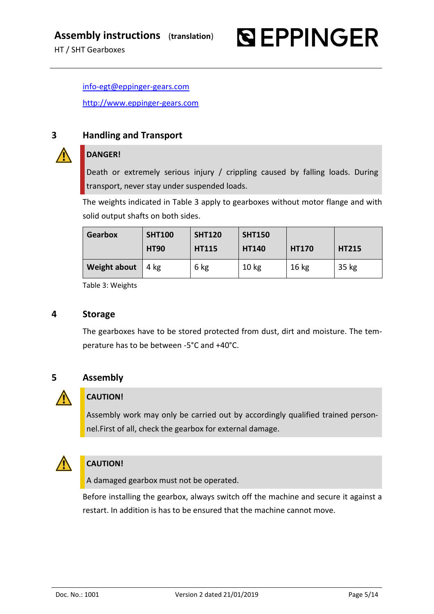[info-egt@eppinger-gears.com](file://///ESA-031-CAD.eppinger.de/EGT_Abteilungen/EGT_Konstruktion/15_EGT-interne%20Projekte/Betriebs-%20und%20Montageanleitung/EGT-Winkelgetriebe/DOKUMENTATION/Montageanleitung%20HT%20SHT_V1/info-egt@eppinger-gears.com) [http://www.eppinger-gears.com](http://www.eppinger-gears.com/)

# <span id="page-4-0"></span>**3 Handling and Transport**

# **DANGER!**

Death or extremely serious injury / crippling caused by falling loads. During transport, never stay under suspended loads.

**SEPPINGER** 

The weights indicated in [Table 3](#page-4-3) apply to gearboxes without motor flange and with solid output shafts on both sides.

| Gearbox             | <b>SHT100</b> | <b>SHT120</b> | <b>SHT150</b>    |                  |              |
|---------------------|---------------|---------------|------------------|------------------|--------------|
|                     | <b>HT90</b>   | <b>HT115</b>  | <b>HT140</b>     | <b>HT170</b>     | <b>HT215</b> |
| <b>Weight about</b> | 4 kg          | 6 kg          | 10 <sub>kg</sub> | 16 <sub>kg</sub> | 35 kg        |

Table 3: Weights

# <span id="page-4-3"></span><span id="page-4-1"></span>**4 Storage**

The gearboxes have to be stored protected from dust, dirt and moisture. The temperature has to be between -5°C and +40°C.

<span id="page-4-2"></span>

# **CAUTION!**

Assembly work may only be carried out by accordingly qualified trained personnel. First of all, check the gearbox for external damage.



# **CAUTION!**

A damaged gearbox must not be operated.

Before installing the gearbox, always switch off the machine and secure it against a restart. In addition is has to be ensured that the machine cannot move.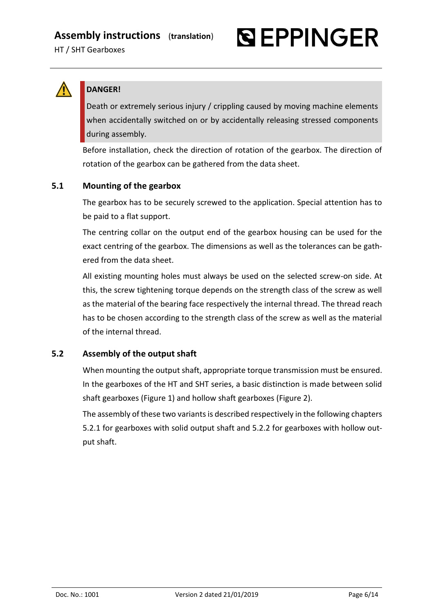



# **DANGER!**

Death or extremely serious injury / crippling caused by moving machine elements when accidentally switched on or by accidentally releasing stressed components during assembly.

Before installation, check the direction of rotation of the gearbox. The direction of rotation of the gearbox can be gathered from the data sheet.

# <span id="page-5-0"></span>**5.1 Mounting of the gearbox**

The gearbox has to be securely screwed to the application. Special attention has to be paid to a flat support.

The centring collar on the output end of the gearbox housing can be used for the exact centring of the gearbox. The dimensions as well as the tolerances can be gathered from the data sheet.

All existing mounting holes must always be used on the selected screw-on side. At this, the screw tightening torque depends on the strength class of the screw as well as the material of the bearing face respectively the internal thread. The thread reach has to be chosen according to the strength class of the screw as well as the material of the internal thread.

# <span id="page-5-1"></span>**5.2 Assembly of the output shaft**

When mounting the output shaft, appropriate torque transmission must be ensured. In the gearboxes of the HT and SHT series, a basic distinction is made between solid shaft gearboxes [\(Figure 1\)](#page-6-2) and hollow shaft gearboxes [\(Figure 2\)](#page-6-3).

The assembly of these two variants is described respectively in the following chapters [5.2.1](#page-6-0) for gearboxes with solid output shaft and [5.2.2](#page-6-1) for gearboxes with hollow output shaft.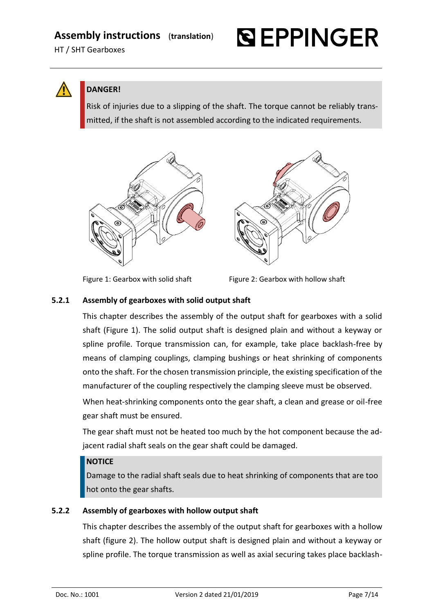# **Assembly instructions** (**translation**)

HT / SHT Gearboxes



**DANGER!**

Risk of injuries due to a slipping of the shaft. The torque cannot be reliably transmitted, if the shaft is not assembled according to the indicated requirements.



<span id="page-6-3"></span>

<span id="page-6-2"></span>

Figure 1: Gearbox with solid shaft Figure 2: Gearbox with hollow shaft

# <span id="page-6-0"></span>**5.2.1 Assembly of gearboxes with solid output shaft**

This chapter describes the assembly of the output shaft for gearboxes with a solid shaft [\(Figure 1\)](#page-6-2). The solid output shaft is designed plain and without a keyway or spline profile. Torque transmission can, for example, take place backlash-free by means of clamping couplings, clamping bushings or heat shrinking of components onto the shaft. For the chosen transmission principle, the existing specification of the manufacturer of the coupling respectively the clamping sleeve must be observed.

When heat-shrinking components onto the gear shaft, a clean and grease or oil-free gear shaft must be ensured.

The gear shaft must not be heated too much by the hot component because the adjacent radial shaft seals on the gear shaft could be damaged.

# **NOTICE**

Damage to the radial shaft seals due to heat shrinking of components that are too hot onto the gear shafts.

# <span id="page-6-1"></span>**5.2.2 Assembly of gearboxes with hollow output shaft**

This chapter describes the assembly of the output shaft for gearboxes with a hollow shaft (figure 2). The hollow output shaft is designed plain and without a keyway or spline profile. The torque transmission as well as axial securing takes place backlash-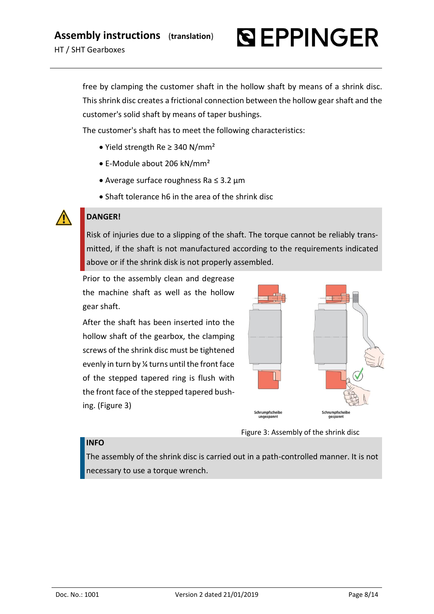

free by clamping the customer shaft in the hollow shaft by means of a shrink disc. This shrink disc creates a frictional connection between the hollow gear shaft and the customer's solid shaft by means of taper bushings.

The customer's shaft has to meet the following characteristics:

- Yield strength Re ≥ 340 N/mm²
- E-Module about 206 kN/mm²
- Average surface roughness Ra ≤ 3.2 µm
- Shaft tolerance h6 in the area of the shrink disc

# **DANGER!**

Risk of injuries due to a slipping of the shaft. The torque cannot be reliably transmitted, if the shaft is not manufactured according to the requirements indicated above or if the shrink disk is not properly assembled.

Prior to the assembly clean and degrease the machine shaft as well as the hollow gear shaft.

After the shaft has been inserted into the hollow shaft of the gearbox, the clamping screws of the shrink disc must be tightened evenly in turn by ¼ turns until the front face of the stepped tapered ring is flush with the front face of the stepped tapered bushing. [\(Figure 3\)](#page-7-0)



<span id="page-7-0"></span>Figure 3: Assembly of the shrink disc

## **INFO**

The assembly of the shrink disc is carried out in a path-controlled manner. It is not necessary to use a torque wrench.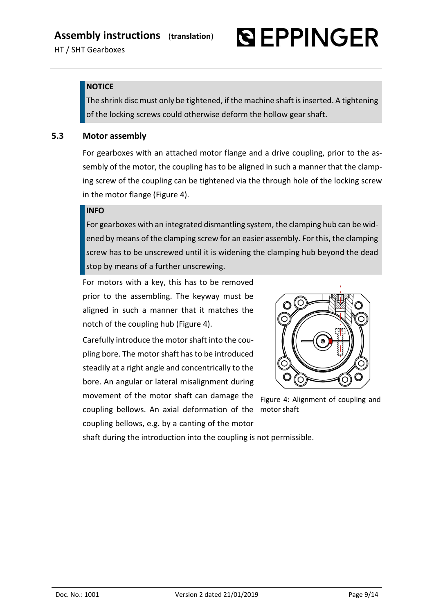# **QEPPINGER**

# **NOTICE**

The shrink disc must only be tightened, if the machine shaft is inserted. A tightening of the locking screws could otherwise deform the hollow gear shaft.

# <span id="page-8-0"></span>**5.3 Motor assembly**

For gearboxes with an attached motor flange and a drive coupling, prior to the assembly of the motor, the coupling has to be aligned in such a manner that the clamping screw of the coupling can be tightened via the through hole of the locking screw in the motor flange [\(Figure 4\)](#page-8-1).

# **INFO**

For gearboxes with an integrated dismantling system, the clamping hub can be widened by means of the clamping screw for an easier assembly. For this, the clamping screw has to be unscrewed until it is widening the clamping hub beyond the dead stop by means of a further unscrewing.

For motors with a key, this has to be removed prior to the assembling. The keyway must be aligned in such a manner that it matches the notch of the coupling hub [\(Figure 4\)](#page-8-1).

Carefully introduce the motor shaft into the coupling bore. The motor shaft has to be introduced steadily at a right angle and concentrically to the bore. An angular or lateral misalignment during movement of the motor shaft can damage the coupling bellows. An axial deformation of the motor shaftcoupling bellows, e.g. by a canting of the motor



<span id="page-8-1"></span>Figure 4: Alignment of coupling and

shaft during the introduction into the coupling is not permissible.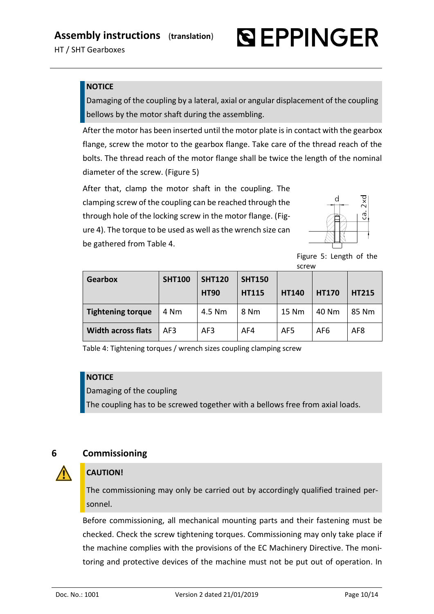# **QEPPINGER**

# **NOTICE**

Damaging of the coupling by a lateral, axial or angular displacement of the coupling bellows by the motor shaft during the assembling.

After the motor has been inserted until the motor plate is in contact with the gearbox flange, screw the motor to the gearbox flange. Take care of the thread reach of the bolts. The thread reach of the motor flange shall be twice the length of the nominal diameter of the screw. [\(Figure 5\)](#page-9-1)

After that, clamp the motor shaft in the coupling. The clamping screw of the coupling can be reached through the through hole of the locking screw in the motor flange. [\(Fig](#page-8-1)[ure 4\)](#page-8-1). The torque to be used as well as the wrench size can be gathered fro[m Table 4.](#page-9-2)



<span id="page-9-1"></span>Figure 5: Length of the screw

| <b>Gearbox</b>            | <b>SHT100</b> | <b>SHT120</b><br><b>HT90</b> | <b>SHT150</b><br><b>HT115</b> | <b>HT140</b> | <b>HT170</b> | <b>HT215</b> |
|---------------------------|---------------|------------------------------|-------------------------------|--------------|--------------|--------------|
| <b>Tightening torque</b>  | 4 Nm          | 4.5 Nm                       | 8 Nm                          | 15 Nm        | 40 Nm        | 85 Nm        |
| <b>Width across flats</b> | AF3           | AF3                          | AF4                           | AF5          | AF6          | AF8          |

<span id="page-9-2"></span>Table 4: Tightening torques / wrench sizes coupling clamping screw

# **NOTICE**

Damaging of the coupling

The coupling has to be screwed together with a bellows free from axial loads.

# <span id="page-9-0"></span>**6 Commissioning**

# **CAUTION!**

The commissioning may only be carried out by accordingly qualified trained personnel.

Before commissioning, all mechanical mounting parts and their fastening must be checked. Check the screw tightening torques. Commissioning may only take place if the machine complies with the provisions of the EC Machinery Directive. The monitoring and protective devices of the machine must not be put out of operation. In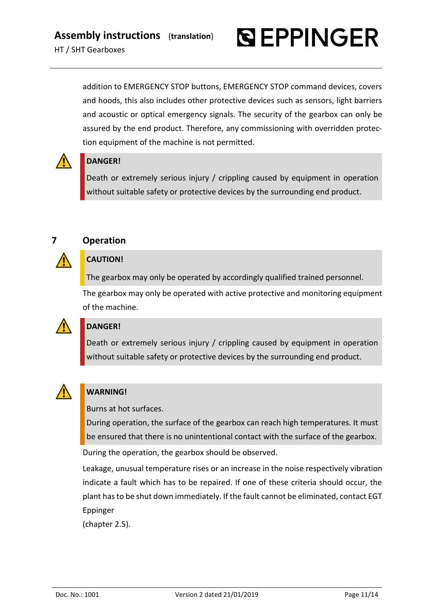

addition to EMERGENCY STOP buttons, EMERGENCY STOP command devices, covers and hoods, this also includes other protective devices such as sensors, light barriers and acoustic or optical emergency signals. The security of the gearbox can only be assured by the end product. Therefore, any commissioning with overridden protection equipment of the machine is not permitted.



# **DANGER!**

Death or extremely serious injury / crippling caused by equipment in operation without suitable safety or protective devices by the surrounding end product.



# <span id="page-10-0"></span>**7 Operation**

# **CAUTION!**

The gearbox may only be operated by accordingly qualified trained personnel.

The gearbox may only be operated with active protective and monitoring equipment of the machine.



# **DANGER!**

Death or extremely serious injury / crippling caused by equipment in operation without suitable safety or protective devices by the surrounding end product.



# **WARNING!**

Burns at hot surfaces.

During operation, the surface of the gearbox can reach high temperatures. It must be ensured that there is no unintentional contact with the surface of the gearbox.

During the operation, the gearbox should be observed.

Leakage, unusual temperature rises or an increase in the noise respectively vibration indicate a fault which has to be repaired. If one of these criteria should occur, the plant has to be shut down immediately. If the fault cannot be eliminated, contact EGT Eppinger

(chapter [2.5\)](#page-3-3).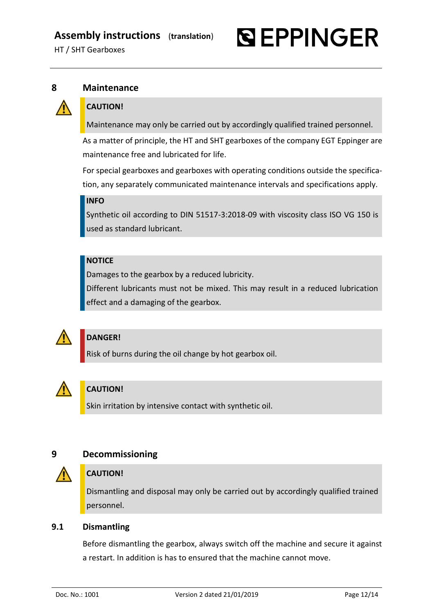

# <span id="page-11-0"></span>**8 Maintenance**



# **CAUTION!**

Maintenance may only be carried out by accordingly qualified trained personnel.

As a matter of principle, the HT and SHT gearboxes of the company EGT Eppinger are maintenance free and lubricated for life.

For special gearboxes and gearboxes with operating conditions outside the specification, any separately communicated maintenance intervals and specifications apply.

## **INFO**

Synthetic oil according to DIN 51517-3:2018-09 with viscosity class ISO VG 150 is used as standard lubricant.

# **NOTICE**

Damages to the gearbox by a reduced lubricity.

Different lubricants must not be mixed. This may result in a reduced lubrication effect and a damaging of the gearbox.



# **DANGER!**

Risk of burns during the oil change by hot gearbox oil.



# **CAUTION!**

Skin irritation by intensive contact with synthetic oil.

# <span id="page-11-1"></span>**9 Decommissioning**



# **CAUTION!**

Dismantling and disposal may only be carried out by accordingly qualified trained personnel.

# <span id="page-11-2"></span>**9.1 Dismantling**

Before dismantling the gearbox, always switch off the machine and secure it against a restart. In addition is has to ensured that the machine cannot move.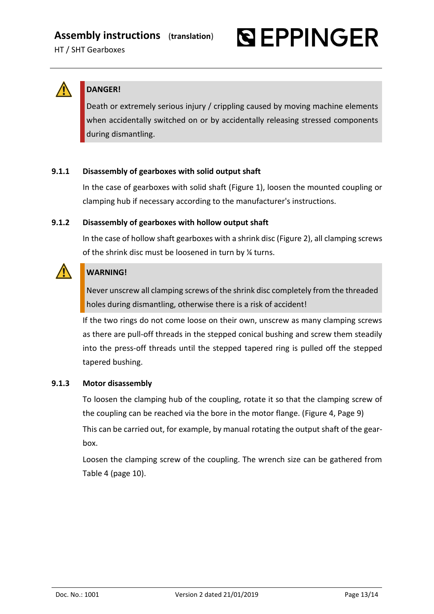



# **DANGER!**

Death or extremely serious injury / crippling caused by moving machine elements when accidentally switched on or by accidentally releasing stressed components during dismantling.

# <span id="page-12-0"></span>**9.1.1 Disassembly of gearboxes with solid output shaft**

In the case of gearboxes with solid shaft [\(Figure 1\)](#page-6-2), loosen the mounted coupling or clamping hub if necessary according to the manufacturer's instructions.

# <span id="page-12-1"></span>**9.1.2 Disassembly of gearboxes with hollow output shaft**

In the case of hollow shaft gearboxes with a shrink disc [\(Figure 2\)](#page-6-3), all clamping screws of the shrink disc must be loosened in turn by ¼ turns.



# **WARNING!**

Never unscrew all clamping screws of the shrink disc completely from the threaded holes during dismantling, otherwise there is a risk of accident!

If the two rings do not come loose on their own, unscrew as many clamping screws as there are pull-off threads in the stepped conical bushing and screw them steadily into the press-off threads until the stepped tapered ring is pulled off the stepped tapered bushing.

## <span id="page-12-2"></span>**9.1.3 Motor disassembly**

To loosen the clamping hub of the coupling, rotate it so that the clamping screw of the coupling can be reached via the bore in the motor flange. [\(Figure 4,](#page-8-1) Page [9\)](#page-8-1) This can be carried out, for example, by manual rotating the output shaft of the gearbox.

Loosen the clamping screw of the coupling. The wrench size can be gathered from [Table 4](#page-9-2) (page [10\)](#page-9-2).